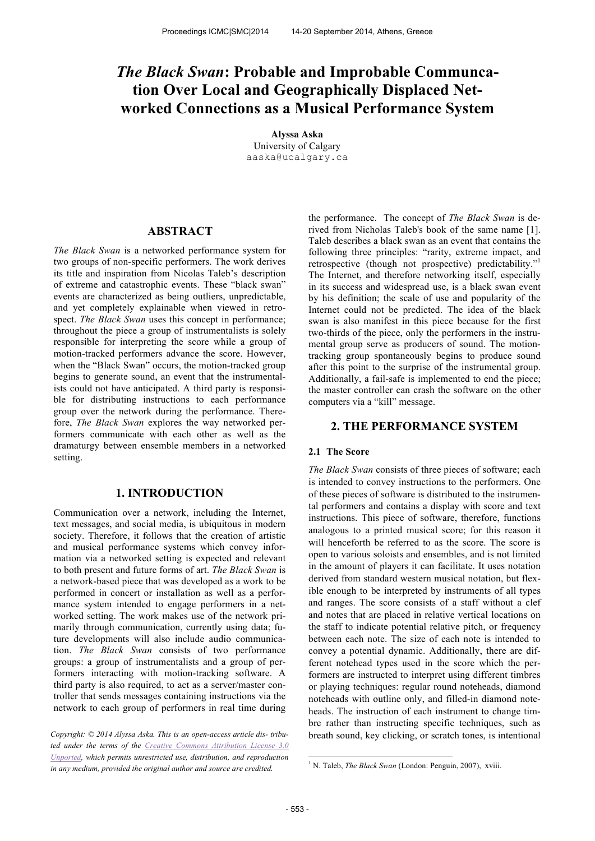# *The Black Swan***: Probable and Improbable Communcation Over Local and Geographically Displaced Networked Connections as a Musical Performance System**

**Alyssa Aska** University of Calgary aaska@ucalgary.ca

# **ABSTRACT**

*The Black Swan* is a networked performance system for two groups of non-specific performers. The work derives its title and inspiration from Nicolas Taleb's description of extreme and catastrophic events. These "black swan" events are characterized as being outliers, unpredictable, and yet completely explainable when viewed in retrospect. *The Black Swan* uses this concept in performance; throughout the piece a group of instrumentalists is solely responsible for interpreting the score while a group of motion-tracked performers advance the score. However, when the "Black Swan" occurs, the motion-tracked group begins to generate sound, an event that the instrumentalists could not have anticipated. A third party is responsible for distributing instructions to each performance group over the network during the performance. Therefore, *The Black Swan* explores the way networked performers communicate with each other as well as the dramaturgy between ensemble members in a networked setting.

## **1. INTRODUCTION**

Communication over a network, including the Internet, text messages, and social media, is ubiquitous in modern society. Therefore, it follows that the creation of artistic and musical performance systems which convey information via a networked setting is expected and relevant to both present and future forms of art. *The Black Swan* is a network-based piece that was developed as a work to be performed in concert or installation as well as a performance system intended to engage performers in a networked setting. The work makes use of the network primarily through communication, currently using data; future developments will also include audio communication. *The Black Swan* consists of two performance groups: a group of instrumentalists and a group of performers interacting with motion-tracking software. A third party is also required, to act as a server/master controller that sends messages containing instructions via the network to each group of performers in real time during

*Copyright: © 2014 Alyssa Aska. This is an open-access article dis- tributed under the terms of the Creative Commons Attribution License 3.0 Unported, which permits unrestricted use, distribution, and reproduction in any medium, provided the original author and source are credited.*

the performance. The concept of *The Black Swan* is derived from Nicholas Taleb's book of the same name [1]. Taleb describes a black swan as an event that contains the following three principles: "rarity, extreme impact, and retrospective (though not prospective) predictability."<sup>1</sup> The Internet, and therefore networking itself, especially in its success and widespread use, is a black swan event by his definition; the scale of use and popularity of the Internet could not be predicted. The idea of the black swan is also manifest in this piece because for the first two-thirds of the piece, only the performers in the instrumental group serve as producers of sound. The motiontracking group spontaneously begins to produce sound after this point to the surprise of the instrumental group. Additionally, a fail-safe is implemented to end the piece; the master controller can crash the software on the other computers via a "kill" message.

# **2. THE PERFORMANCE SYSTEM**

## **2.1 The Score**

*The Black Swan* consists of three pieces of software; each is intended to convey instructions to the performers. One of these pieces of software is distributed to the instrumental performers and contains a display with score and text instructions. This piece of software, therefore, functions analogous to a printed musical score; for this reason it will henceforth be referred to as the score. The score is open to various soloists and ensembles, and is not limited in the amount of players it can facilitate. It uses notation derived from standard western musical notation, but flexible enough to be interpreted by instruments of all types and ranges. The score consists of a staff without a clef and notes that are placed in relative vertical locations on the staff to indicate potential relative pitch, or frequency between each note. The size of each note is intended to convey a potential dynamic. Additionally, there are different notehead types used in the score which the performers are instructed to interpret using different timbres or playing techniques: regular round noteheads, diamond noteheads with outline only, and filled-in diamond noteheads. The instruction of each instrument to change timbre rather than instructing specific techniques, such as breath sound, key clicking, or scratch tones, is intentional

-

<sup>&</sup>lt;sup>1</sup> N. Taleb, *The Black Swan* (London: Penguin, 2007), xviii.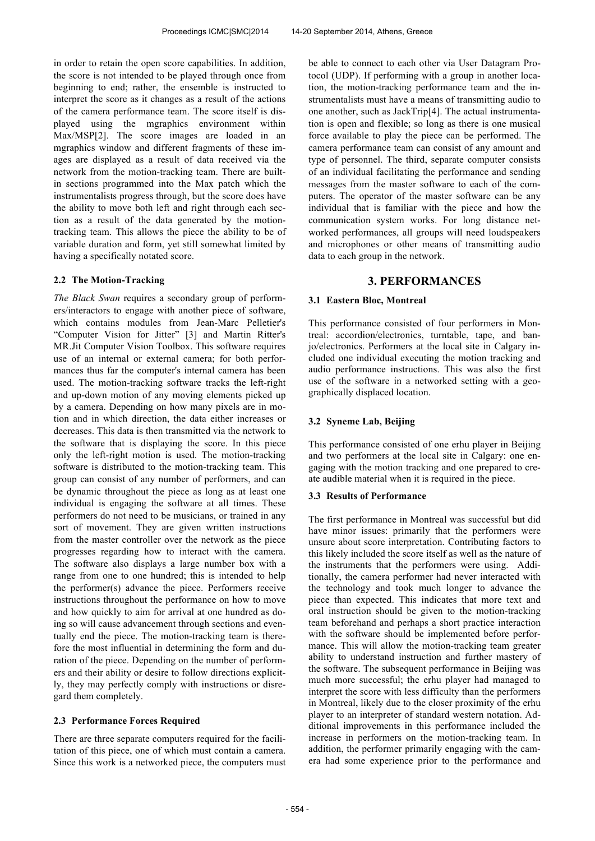in order to retain the open score capabilities. In addition, the score is not intended to be played through once from beginning to end; rather, the ensemble is instructed to interpret the score as it changes as a result of the actions of the camera performance team. The score itself is displayed using the mgraphics environment within Max/MSP[2]. The score images are loaded in an mgraphics window and different fragments of these images are displayed as a result of data received via the network from the motion-tracking team. There are builtin sections programmed into the Max patch which the instrumentalists progress through, but the score does have the ability to move both left and right through each section as a result of the data generated by the motiontracking team. This allows the piece the ability to be of variable duration and form, yet still somewhat limited by having a specifically notated score.

# **2.2 The Motion-Tracking**

*The Black Swan* requires a secondary group of performers/interactors to engage with another piece of software, which contains modules from Jean-Marc Pelletier's "Computer Vision for Jitter" [3] and Martin Ritter's MR.Jit Computer Vision Toolbox. This software requires use of an internal or external camera; for both performances thus far the computer's internal camera has been used. The motion-tracking software tracks the left-right and up-down motion of any moving elements picked up by a camera. Depending on how many pixels are in motion and in which direction, the data either increases or decreases. This data is then transmitted via the network to the software that is displaying the score. In this piece only the left-right motion is used. The motion-tracking software is distributed to the motion-tracking team. This group can consist of any number of performers, and can be dynamic throughout the piece as long as at least one individual is engaging the software at all times. These performers do not need to be musicians, or trained in any sort of movement. They are given written instructions from the master controller over the network as the piece progresses regarding how to interact with the camera. The software also displays a large number box with a range from one to one hundred; this is intended to help the performer(s) advance the piece. Performers receive instructions throughout the performance on how to move and how quickly to aim for arrival at one hundred as doing so will cause advancement through sections and eventually end the piece. The motion-tracking team is therefore the most influential in determining the form and duration of the piece. Depending on the number of performers and their ability or desire to follow directions explicitly, they may perfectly comply with instructions or disregard them completely.

## **2.3 Performance Forces Required**

There are three separate computers required for the facilitation of this piece, one of which must contain a camera. Since this work is a networked piece, the computers must be able to connect to each other via User Datagram Protocol (UDP). If performing with a group in another location, the motion-tracking performance team and the instrumentalists must have a means of transmitting audio to one another, such as JackTrip[4]. The actual instrumentation is open and flexible; so long as there is one musical force available to play the piece can be performed. The camera performance team can consist of any amount and type of personnel. The third, separate computer consists of an individual facilitating the performance and sending messages from the master software to each of the computers. The operator of the master software can be any individual that is familiar with the piece and how the communication system works. For long distance networked performances, all groups will need loudspeakers and microphones or other means of transmitting audio data to each group in the network.

# **3. PERFORMANCES**

## **3.1 Eastern Bloc, Montreal**

This performance consisted of four performers in Montreal: accordion/electronics, turntable, tape, and banjo/electronics. Performers at the local site in Calgary included one individual executing the motion tracking and audio performance instructions. This was also the first use of the software in a networked setting with a geographically displaced location.

## **3.2 Syneme Lab, Beijing**

This performance consisted of one erhu player in Beijing and two performers at the local site in Calgary: one engaging with the motion tracking and one prepared to create audible material when it is required in the piece.

# **3.3 Results of Performance**

The first performance in Montreal was successful but did have minor issues: primarily that the performers were unsure about score interpretation. Contributing factors to this likely included the score itself as well as the nature of the instruments that the performers were using. Additionally, the camera performer had never interacted with the technology and took much longer to advance the piece than expected. This indicates that more text and oral instruction should be given to the motion-tracking team beforehand and perhaps a short practice interaction with the software should be implemented before performance. This will allow the motion-tracking team greater ability to understand instruction and further mastery of the software. The subsequent performance in Beijing was much more successful; the erhu player had managed to interpret the score with less difficulty than the performers in Montreal, likely due to the closer proximity of the erhu player to an interpreter of standard western notation. Additional improvements in this performance included the increase in performers on the motion-tracking team. In addition, the performer primarily engaging with the camera had some experience prior to the performance and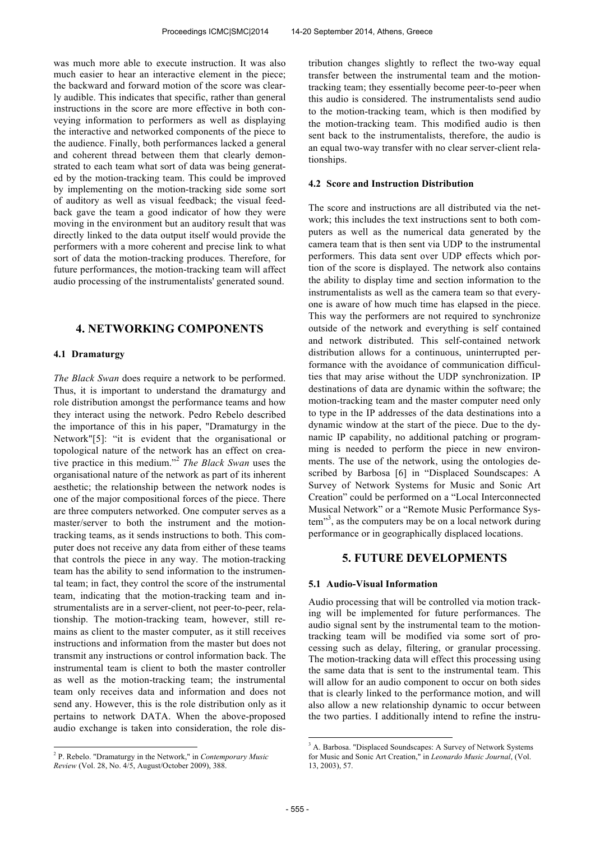was much more able to execute instruction. It was also much easier to hear an interactive element in the piece; the backward and forward motion of the score was clearly audible. This indicates that specific, rather than general instructions in the score are more effective in both conveying information to performers as well as displaying the interactive and networked components of the piece to the audience. Finally, both performances lacked a general and coherent thread between them that clearly demonstrated to each team what sort of data was being generated by the motion-tracking team. This could be improved by implementing on the motion-tracking side some sort of auditory as well as visual feedback; the visual feedback gave the team a good indicator of how they were moving in the environment but an auditory result that was directly linked to the data output itself would provide the performers with a more coherent and precise link to what sort of data the motion-tracking produces. Therefore, for future performances, the motion-tracking team will affect audio processing of the instrumentalists' generated sound.

# **4. NETWORKING COMPONENTS**

## **4.1 Dramaturgy**

*The Black Swan* does require a network to be performed. Thus, it is important to understand the dramaturgy and role distribution amongst the performance teams and how they interact using the network. Pedro Rebelo described the importance of this in his paper, "Dramaturgy in the Network"[5]: "it is evident that the organisational or topological nature of the network has an effect on creative practice in this medium." 2 *The Black Swan* uses the organisational nature of the network as part of its inherent aesthetic; the relationship between the network nodes is one of the major compositional forces of the piece. There are three computers networked. One computer serves as a master/server to both the instrument and the motiontracking teams, as it sends instructions to both. This computer does not receive any data from either of these teams that controls the piece in any way. The motion-tracking team has the ability to send information to the instrumental team; in fact, they control the score of the instrumental team, indicating that the motion-tracking team and instrumentalists are in a server-client, not peer-to-peer, relationship. The motion-tracking team, however, still remains as client to the master computer, as it still receives instructions and information from the master but does not transmit any instructions or control information back. The instrumental team is client to both the master controller as well as the motion-tracking team; the instrumental team only receives data and information and does not send any. However, this is the role distribution only as it pertains to network DATA. When the above-proposed audio exchange is taken into consideration, the role distribution changes slightly to reflect the two-way equal transfer between the instrumental team and the motiontracking team; they essentially become peer-to-peer when this audio is considered. The instrumentalists send audio to the motion-tracking team, which is then modified by the motion-tracking team. This modified audio is then sent back to the instrumentalists, therefore, the audio is an equal two-way transfer with no clear server-client relationships.

#### **4.2 Score and Instruction Distribution**

The score and instructions are all distributed via the network; this includes the text instructions sent to both computers as well as the numerical data generated by the camera team that is then sent via UDP to the instrumental performers. This data sent over UDP effects which portion of the score is displayed. The network also contains the ability to display time and section information to the instrumentalists as well as the camera team so that everyone is aware of how much time has elapsed in the piece. This way the performers are not required to synchronize outside of the network and everything is self contained and network distributed. This self-contained network distribution allows for a continuous, uninterrupted performance with the avoidance of communication difficulties that may arise without the UDP synchronization. IP destinations of data are dynamic within the software; the motion-tracking team and the master computer need only to type in the IP addresses of the data destinations into a dynamic window at the start of the piece. Due to the dynamic IP capability, no additional patching or programming is needed to perform the piece in new environments. The use of the network, using the ontologies described by Barbosa [6] in "Displaced Soundscapes: A Survey of Network Systems for Music and Sonic Art Creation" could be performed on a "Local Interconnected Musical Network" or a "Remote Music Performance System"<sup>3</sup>, as the computers may be on a local network during performance or in geographically displaced locations.

# **5. FUTURE DEVELOPMENTS**

# **5.1 Audio-Visual Information**

Audio processing that will be controlled via motion tracking will be implemented for future performances. The audio signal sent by the instrumental team to the motiontracking team will be modified via some sort of processing such as delay, filtering, or granular processing. The motion-tracking data will effect this processing using the same data that is sent to the instrumental team. This will allow for an audio component to occur on both sides that is clearly linked to the performance motion, and will also allow a new relationship dynamic to occur between the two parties. I additionally intend to refine the instru-

-

 2 P. Rebelo. "Dramaturgy in the Network," in *Contemporary Music Review* (Vol. 28, No. 4/5, August/October 2009), 388.

<sup>&</sup>lt;sup>3</sup> A. Barbosa. "Displaced Soundscapes: A Survey of Network Systems for Music and Sonic Art Creation," in *Leonardo Music Journal*, (Vol. 13, 2003), 57.